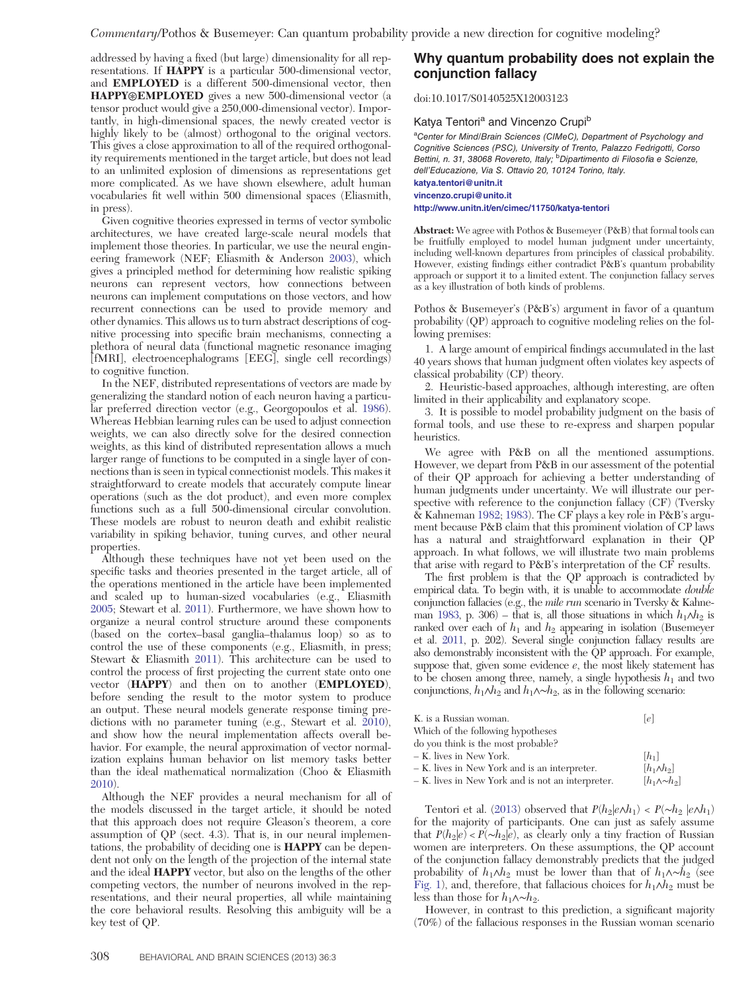addressed by having a fixed (but large) dimensionality for all representations. If HAPPY is a particular 500-dimensional vector, and EMPLOYED is a different 500-dimensional vector, then HAPPY⊛EMPLOYED gives a new 500-dimensional vector (a tensor product would give a 250,000-dimensional vector). Importantly, in high-dimensional spaces, the newly created vector is highly likely to be (almost) orthogonal to the original vectors. This gives a close approximation to all of the required orthogonality requirements mentioned in the target article, but does not lead to an unlimited explosion of dimensions as representations get more complicated. As we have shown elsewhere, adult human vocabularies fit well within 500 dimensional spaces (Eliasmith, in press).

Given cognitive theories expressed in terms of vector symbolic architectures, we have created large-scale neural models that implement those theories. In particular, we use the neural engineering framework (NEF; Eliasmith & Anderson 2003), which gives a principled method for determining how realistic spiking neurons can represent vectors, how connections between neurons can implement computations on those vectors, and how recurrent connections can be used to provide memory and other dynamics. This allows us to turn abstract descriptions of cognitive processing into specific brain mechanisms, connecting a plethora of neural data (functional magnetic resonance imaging [fMRI], electroencephalograms [EEG], single cell recordings) to cognitive function.

In the NEF, distributed representations of vectors are made by generalizing the standard notion of each neuron having a particular preferred direction vector (e.g., Georgopoulos et al. 1986). Whereas Hebbian learning rules can be used to adjust connection weights, we can also directly solve for the desired connection weights, as this kind of distributed representation allows a much larger range of functions to be computed in a single layer of connections than is seen in typical connectionist models. This makes it straightforward to create models that accurately compute linear operations (such as the dot product), and even more complex functions such as a full 500-dimensional circular convolution. These models are robust to neuron death and exhibit realistic variability in spiking behavior, tuning curves, and other neural properties.

Although these techniques have not yet been used on the specific tasks and theories presented in the target article, all of the operations mentioned in the article have been implemented and scaled up to human-sized vocabularies (e.g., Eliasmith 2005; Stewart et al. 2011). Furthermore, we have shown how to organize a neural control structure around these components (based on the cortex–basal ganglia–thalamus loop) so as to control the use of these components (e.g., Eliasmith, in press; Stewart & Eliasmith 2011). This architecture can be used to control the process of first projecting the current state onto one vector (HAPPY) and then on to another (EMPLOYED), before sending the result to the motor system to produce an output. These neural models generate response timing predictions with no parameter tuning (e.g., Stewart et al. 2010), and show how the neural implementation affects overall behavior. For example, the neural approximation of vector normalization explains human behavior on list memory tasks better than the ideal mathematical normalization (Choo & Eliasmith 2010).

Although the NEF provides a neural mechanism for all of the models discussed in the target article, it should be noted that this approach does not require Gleason's theorem, a core assumption of QP (sect. 4.3). That is, in our neural implementations, the probability of deciding one is HAPPY can be dependent not only on the length of the projection of the internal state and the ideal HAPPY vector, but also on the lengths of the other competing vectors, the number of neurons involved in the representations, and their neural properties, all while maintaining the core behavioral results. Resolving this ambiguity will be a key test of QP.

## Why quantum probability does not explain the conjunction fallacy

doi:10.1017/S0140525X12003123

#### Katya Tentori<sup>a</sup> and Vincenzo Crupi<sup>b</sup>

<sup>a</sup>Center for Mind/Brain Sciences (CIMeC), Department of Psychology and Cognitive Sciences (PSC), University of Trento, Palazzo Fedrigotti, Corso Bettini, n. 31, 38068 Rovereto, Italy; <sup>b</sup>Dipartimento di Filosofia e Scienze, dell'Educazione, Via S. Ottavio 20, 10124 Torino, Italy. [katya.tentori@unitn.it](mailto:katya.tentori@unitn.it)

## [vincenzo.crupi@unito.it](mailto:vincenzo.crupi@unito.it)

<http://www.unitn.it/en/cimec/11750/katya-tentori>

Abstract: We agree with Pothos & Busemeyer (P&B) that formal tools can be fruitfully employed to model human judgment under uncertainty, including well-known departures from principles of classical probability. However, existing findings either contradict P&B's quantum probability approach or support it to a limited extent. The conjunction fallacy serves as a key illustration of both kinds of problems.

Pothos & Busemeyer's (P&B's) argument in favor of a quantum probability (QP) approach to cognitive modeling relies on the following premises:

1. A large amount of empirical findings accumulated in the last 40 years shows that human judgment often violates key aspects of classical probability (CP) theory.

2. Heuristic-based approaches, although interesting, are often limited in their applicability and explanatory scope.

3. It is possible to model probability judgment on the basis of formal tools, and use these to re-express and sharpen popular heuristics.

We agree with P&B on all the mentioned assumptions. However, we depart from P&B in our assessment of the potential of their QP approach for achieving a better understanding of human judgments under uncertainty. We will illustrate our perspective with reference to the conjunction fallacy (CF) (Tversky & Kahneman 1982; 1983). The CF plays a key role in P&B's argument because P&B claim that this prominent violation of CP laws has a natural and straightforward explanation in their QP approach. In what follows, we will illustrate two main problems that arise with regard to P&B's interpretation of the CF results.

The first problem is that the QP approach is contradicted by empirical data. To begin with, it is unable to accommodate double conjunction fallacies (e.g., the mile run scenario in Tversky & Kahneman 1983, p. 306) – that is, all those situations in which  $h_1 \wedge h_2$  is ranked over each of  $h_1$  and  $h_2$  appearing in isolation (Busemeyer et al. 2011, p. 202). Several single conjunction fallacy results are also demonstrably inconsistent with the QP approach. For example, suppose that, given some evidence  $e$ , the most likely statement has to be chosen among three, namely, a single hypothesis  $h_1$  and two conjunctions,  $h_1 \wedge h_2$  and  $h_1 \wedge \neg h_2$ , as in the following scenario:

| K. is a Russian woman.                            | e                       |
|---------------------------------------------------|-------------------------|
| Which of the following hypotheses                 |                         |
| do you think is the most probable?                |                         |
| - K. lives in New York.                           | $[h_1]$                 |
| - K. lives in New York and is an interpreter.     | $[h_1 \wedge h_2]$      |
| - K. lives in New York and is not an interpreter. | $[h_1 \wedge \sim h_2]$ |

Tentori et al. (2013) observed that  $P(h_2|e \wedge h_1) < P(\sim h_2 |e \wedge h_1)$ for the majority of participants. One can just as safely assume that  $P(h_2|e) < P(\sim h_2|e)$ , as clearly only a tiny fraction of Russian women are interpreters. On these assumptions, the QP account of the conjunction fallacy demonstrably predicts that the judged probability of  $h_1 \wedge h_2$  must be lower than that of  $h_1 \wedge \neg h_2$  (see Fig. 1), and, therefore, that fallacious choices for  $h_1 \wedge h_2$  must be less than those for  $h_1 \wedge \neg h_2$ .

However, in contrast to this prediction, a significant majority (70%) of the fallacious responses in the Russian woman scenario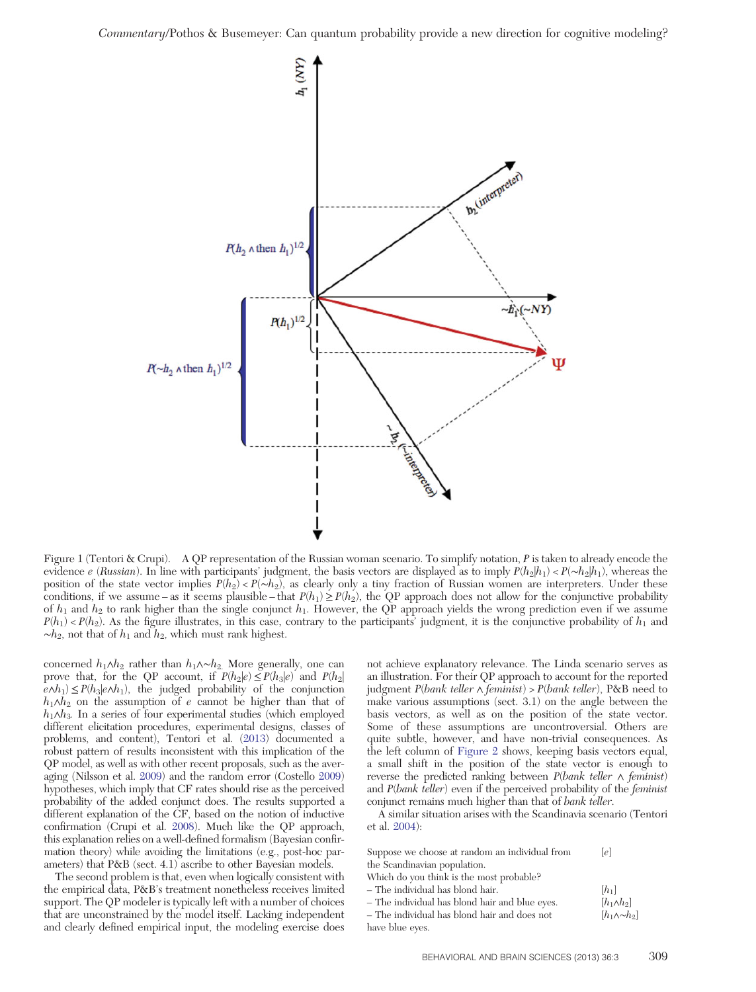

Figure 1 (Tentori & Crupi). A QP representation of the Russian woman scenario. To simplify notation, P is taken to already encode the evidence e (Russian). In line with participants' judgment, the basis vectors are displayed as to imply  $P(h_2|h_1) < P(\sim h_2|h_1)$ , whereas the position of the state vector implies  $P(h_2) < P(\sim h_2)$ , as clearly only a tiny fraction of Russian women are interpreters. Under these conditions, if we assume – as it seems plausible – that  $P(h_1) \ge P(h_2)$ , the QP approach does not allow for the conjunctive probability of  $h_1$  and  $h_2$  to rank higher than the single conjunct  $h_1$ . However, the QP approach yields the wrong prediction even if we assume  $P(h_1) < P(h_2)$ . As the figure illustrates, in this case, contrary to the participants' judgment, it is the conjunctive probability of  $h_1$  and  $~\sim h_2$ , not that of  $h_1$  and  $h_2$ , which must rank highest.

concerned  $h_1 \wedge h_2$  rather than  $h_1 \wedge \neg h_2$ . More generally, one can prove that, for the QP account, if  $P(h_2|e) \leq P(h_3|e)$  and  $P(h_2|e)$  $e \wedge h_1$ ) ≤  $P(h_3|e \wedge h_1)$ , the judged probability of the conjunction  $h_1 \wedge h_2$  on the assumption of e cannot be higher than that of  $h_1 \wedge h_3$ . In a series of four experimental studies (which employed different elicitation procedures, experimental designs, classes of problems, and content), Tentori et al. (2013) documented a robust pattern of results inconsistent with this implication of the QP model, as well as with other recent proposals, such as the averaging (Nilsson et al. 2009) and the random error (Costello 2009) hypotheses, which imply that CF rates should rise as the perceived probability of the added conjunct does. The results supported a different explanation of the CF, based on the notion of inductive confirmation (Crupi et al. 2008). Much like the QP approach, this explanation relies on a well-defined formalism (Bayesian confirmation theory) while avoiding the limitations (e.g., post-hoc parameters) that P&B (sect. 4.1) ascribe to other Bayesian models.

The second problem is that, even when logically consistent with the empirical data, P&B's treatment nonetheless receives limited support. The QP modeler is typically left with a number of choices that are unconstrained by the model itself. Lacking independent and clearly defined empirical input, the modeling exercise does not achieve explanatory relevance. The Linda scenario serves as an illustration. For their QP approach to account for the reported judgment  $P(bank \teller \land \text{feminist}) > P(bank \teller)$ ,  $P&B \text{ need to}$ make various assumptions (sect. 3.1) on the angle between the basis vectors, as well as on the position of the state vector. Some of these assumptions are uncontroversial. Others are quite subtle, however, and have non-trivial consequences. As the left column of Figure 2 shows, keeping basis vectors equal, a small shift in the position of the state vector is enough to reverse the predicted ranking between P(bank teller ∧ feminist) and  $P(bank \teller)$  even if the perceived probability of the *feminist* conjunct remains much higher than that of bank teller.

A similar situation arises with the Scandinavia scenario (Tentori et al. 2004):

| Suppose we choose at random an individual from | e                    |
|------------------------------------------------|----------------------|
| the Scandinavian population.                   |                      |
| Which do you think is the most probable?       |                      |
| - The individual has blond hair.               | $[h_1]$              |
| - The individual has blond hair and blue eyes. | $[h_1 \wedge h_2]$   |
| - The individual has blond hair and does not   | $[h_1 \wedge \neg h$ |

have blue eyes. h∘∑